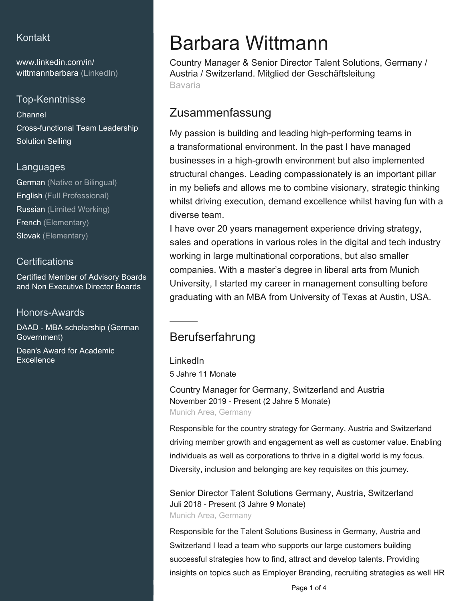### Kontakt

[www.linkedin.com/in/](https://www.linkedin.com/in/wittmannbarbara?jobid=1234&lipi=urn%3Ali%3Apage%3Ad_jobs_easyapply_pdfgenresume%3B%2Fg%2BBagxnRRKhfkD7cMbzFA%3D%3D&licu=urn%3Ali%3Acontrol%3Ad_jobs_easyapply_pdfgenresume-v02_profile) [wittmannbarbara \(LinkedIn\)](https://www.linkedin.com/in/wittmannbarbara?jobid=1234&lipi=urn%3Ali%3Apage%3Ad_jobs_easyapply_pdfgenresume%3B%2Fg%2BBagxnRRKhfkD7cMbzFA%3D%3D&licu=urn%3Ali%3Acontrol%3Ad_jobs_easyapply_pdfgenresume-v02_profile)

### Top-Kenntnisse

Channel Cross-functional Team Leadership Solution Selling

#### Languages

German (Native or Bilingual) English (Full Professional) Russian (Limited Working) French (Elementary) Slovak (Elementary)

### **Certifications**

Certified Member of Advisory Boards and Non Executive Director Boards

Honors-Awards

DAAD - MBA scholarship (German Government)

Dean's Award for Academic **Excellence** 

# Barbara Wittmann

Country Manager & Senior Director Talent Solutions, Germany / Austria / Switzerland. Mitglied der Geschäftsleitung Bavaria

## Zusammenfassung

My passion is building and leading high-performing teams in a transformational environment. In the past I have managed businesses in a high-growth environment but also implemented structural changes. Leading compassionately is an important pillar in my beliefs and allows me to combine visionary, strategic thinking whilst driving execution, demand excellence whilst having fun with a diverse team.

I have over 20 years management experience driving strategy, sales and operations in various roles in the digital and tech industry working in large multinational corporations, but also smaller companies. With a master's degree in liberal arts from Munich University, I started my career in management consulting before graduating with an MBA from University of Texas at Austin, USA.

## Berufserfahrung

LinkedIn 5 Jahre 11 Monate

Country Manager for Germany, Switzerland and Austria November 2019 - Present (2 Jahre 5 Monate) Munich Area, Germany

Responsible for the country strategy for Germany, Austria and Switzerland driving member growth and engagement as well as customer value. Enabling individuals as well as corporations to thrive in a digital world is my focus. Diversity, inclusion and belonging are key requisites on this journey.

Senior Director Talent Solutions Germany, Austria, Switzerland Juli 2018 - Present (3 Jahre 9 Monate) Munich Area, Germany

Responsible for the Talent Solutions Business in Germany, Austria and Switzerland I lead a team who supports our large customers building successful strategies how to find, attract and develop talents. Providing insights on topics such as Employer Branding, recruiting strategies as well HR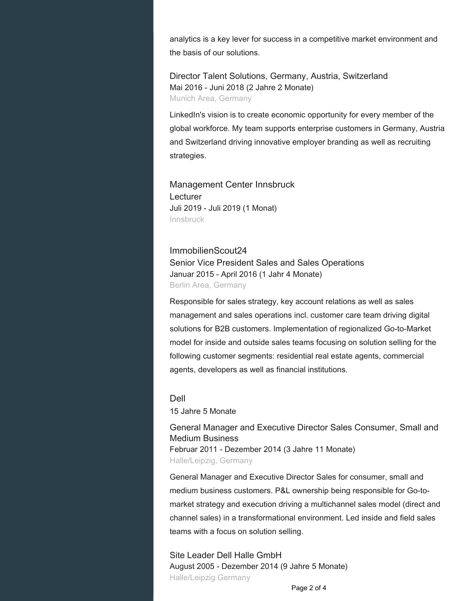analytics is a key lever for success in a competitive market environment and the basis of our solutions.

Director Talent Solutions, Germany, Austria, Switzerland Mai 2016 - Juni 2018 (2 Jahre 2 Monate) Munich Area, Germany

LinkedIn's vision is to create economic opportunity for every member of the global workforce. My team supports enterprise customers in Germany, Austria and Switzerland driving innovative employer branding as well as recruiting strategies.

Management Center Innsbruck **Lecturer** Juli 2019 - Juli 2019 (1 Monat) Innsbruck

ImmobilienScout24 Senior Vice President Sales and Sales Operations Januar 2015 - April 2016 (1 Jahr 4 Monate) Berlin Area, Germany

Responsible for sales strategy, key account relations as well as sales management and sales operations incl. customer care team driving digital solutions for B2B customers. Implementation of regionalized Go-to-Market model for inside and outside sales teams focusing on solution selling for the following customer segments: residential real estate agents, commercial agents, developers as well as financial institutions.

Dell

15 Jahre 5 Monate

General Manager and Executive Director Sales Consumer, Small and Medium Business Februar 2011 - Dezember 2014 (3 Jahre 11 Monate) Halle/Leipzig, Germany

General Manager and Executive Director Sales for consumer, small and medium business customers. P&L ownership being responsible for Go-tomarket strategy and execution driving a multichannel sales model (direct and channel sales) in a transformational environment. Led inside and field sales teams with a focus on solution selling.

Site Leader Dell Halle GmbH August 2005 - Dezember 2014 (9 Jahre 5 Monate) Halle/Leipzig Germany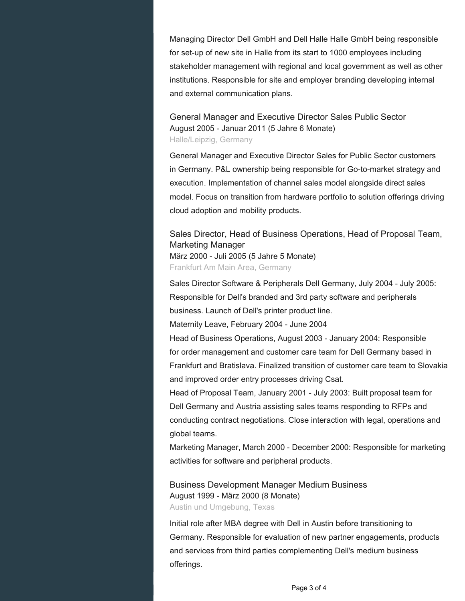Managing Director Dell GmbH and Dell Halle Halle GmbH being responsible for set-up of new site in Halle from its start to 1000 employees including stakeholder management with regional and local government as well as other institutions. Responsible for site and employer branding developing internal and external communication plans.

General Manager and Executive Director Sales Public Sector August 2005 - Januar 2011 (5 Jahre 6 Monate) Halle/Leipzig, Germany

General Manager and Executive Director Sales for Public Sector customers in Germany. P&L ownership being responsible for Go-to-market strategy and execution. Implementation of channel sales model alongside direct sales model. Focus on transition from hardware portfolio to solution offerings driving cloud adoption and mobility products.

### Sales Director, Head of Business Operations, Head of Proposal Team, Marketing Manager

März 2000 - Juli 2005 (5 Jahre 5 Monate) Frankfurt Am Main Area, Germany

Sales Director Software & Peripherals Dell Germany, July 2004 - July 2005: Responsible for Dell's branded and 3rd party software and peripherals business. Launch of Dell's printer product line.

Maternity Leave, February 2004 - June 2004

Head of Business Operations, August 2003 - January 2004: Responsible for order management and customer care team for Dell Germany based in Frankfurt and Bratislava. Finalized transition of customer care team to Slovakia and improved order entry processes driving Csat.

Head of Proposal Team, January 2001 - July 2003: Built proposal team for Dell Germany and Austria assisting sales teams responding to RFPs and conducting contract negotiations. Close interaction with legal, operations and global teams.

Marketing Manager, March 2000 - December 2000: Responsible for marketing activities for software and peripheral products.

Business Development Manager Medium Business August 1999 - März 2000 (8 Monate) Austin und Umgebung, Texas

Initial role after MBA degree with Dell in Austin before transitioning to Germany. Responsible for evaluation of new partner engagements, products and services from third parties complementing Dell's medium business offerings.